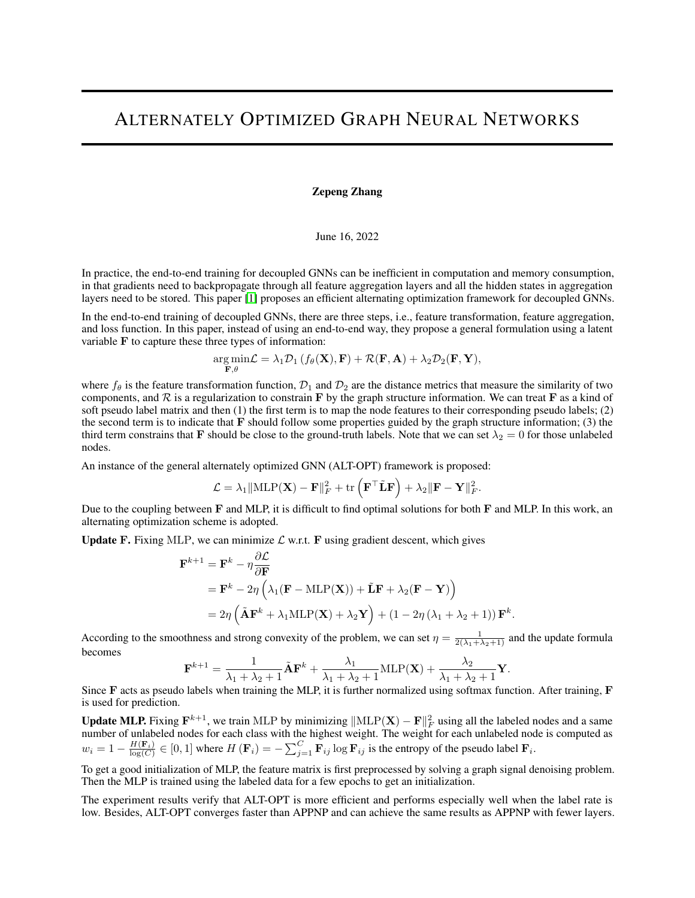## ALTERNATELY OPTIMIZED GRAPH NEURAL NETWORKS

## Zepeng Zhang

## June 16, 2022

In practice, the end-to-end training for decoupled GNNs can be inefficient in computation and memory consumption, in that gradients need to backpropagate through all feature aggregation layers and all the hidden states in aggregation layers need to be stored. This paper [\[1\]](#page-1-0) proposes an efficient alternating optimization framework for decoupled GNNs.

In the end-to-end training of decoupled GNNs, there are three steps, i.e., feature transformation, feature aggregation, and loss function. In this paper, instead of using an end-to-end way, they propose a general formulation using a latent variable F to capture these three types of information:

$$
\underset{\mathbf{F},\theta}{\arg\min}\mathcal{L}=\lambda_1\mathcal{D}_1\left(f_{\theta}(\mathbf{X}),\mathbf{F}\right)+\mathcal{R}(\mathbf{F},\mathbf{A})+\lambda_2\mathcal{D}_2(\mathbf{F},\mathbf{Y}),
$$

where  $f_\theta$  is the feature transformation function,  $\mathcal{D}_1$  and  $\mathcal{D}_2$  are the distance metrics that measure the similarity of two components, and  $R$  is a regularization to constrain F by the graph structure information. We can treat F as a kind of soft pseudo label matrix and then (1) the first term is to map the node features to their corresponding pseudo labels; (2) the second term is to indicate that  $\bf{F}$  should follow some properties guided by the graph structure information; (3) the third term constrains that F should be close to the ground-truth labels. Note that we can set  $\lambda_2 = 0$  for those unlabeled nodes.

An instance of the general alternately optimized GNN (ALT-OPT) framework is proposed:

$$
\mathcal{L} = \lambda_1 \|\mathrm{MLP}(\mathbf{X}) - \mathbf{F}\|_F^2 + \mathrm{tr}\left(\mathbf{F}^\top \tilde{\mathbf{L}} \mathbf{F}\right) + \lambda_2 \|\mathbf{F} - \mathbf{Y}\|_F^2.
$$

Due to the coupling between  $\bf{F}$  and MLP, it is difficult to find optimal solutions for both  $\bf{F}$  and MLP. In this work, an alternating optimization scheme is adopted.

**Update F.** Fixing MLP, we can minimize  $\mathcal{L}$  w.r.t. F using gradient descent, which gives

$$
\mathbf{F}^{k+1} = \mathbf{F}^{k} - \eta \frac{\partial \mathcal{L}}{\partial \mathbf{F}}
$$
  
=  $\mathbf{F}^{k} - 2\eta \left( \lambda_{1} (\mathbf{F} - \text{MLP}(\mathbf{X})) + \tilde{\mathbf{L}} \mathbf{F} + \lambda_{2} (\mathbf{F} - \mathbf{Y}) \right)$   
=  $2\eta \left( \tilde{\mathbf{A}} \mathbf{F}^{k} + \lambda_{1} \text{MLP}(\mathbf{X}) + \lambda_{2} \mathbf{Y} \right) + (1 - 2\eta (\lambda_{1} + \lambda_{2} + 1)) \mathbf{F}^{k}.$ 

According to the smoothness and strong convexity of the problem, we can set  $\eta = \frac{1}{2(\lambda_1 + \lambda_2 + 1)}$  and the update formula becomes

$$
\mathbf{F}^{k+1} = \frac{1}{\lambda_1 + \lambda_2 + 1} \tilde{\mathbf{A}} \mathbf{F}^k + \frac{\lambda_1}{\lambda_1 + \lambda_2 + 1} \text{MLP}(\mathbf{X}) + \frac{\lambda_2}{\lambda_1 + \lambda_2 + 1} \mathbf{Y}.
$$

Since F acts as pseudo labels when training the MLP, it is further normalized using softmax function. After training, F is used for prediction.

**Update MLP.** Fixing  $F^{k+1}$ , we train MLP by minimizing  $\|\text{MLP}(X) - F\|_F^2$  using all the labeled nodes and a same number of unlabeled nodes for each class with the highest weight. The weight for each unlabeled node is computed as  $w_i = 1 - \frac{H(\mathbf{F}_i)}{\log(C)} \in [0, 1]$  where  $H(\mathbf{F}_i) = -\sum_{j=1}^{C} \mathbf{F}_{ij} \log \mathbf{F}_{ij}$  is the entropy of the pseudo label  $\mathbf{F}_i$ .

To get a good initialization of MLP, the feature matrix is first preprocessed by solving a graph signal denoising problem. Then the MLP is trained using the labeled data for a few epochs to get an initialization.

The experiment results verify that ALT-OPT is more efficient and performs especially well when the label rate is low. Besides, ALT-OPT converges faster than APPNP and can achieve the same results as APPNP with fewer layers.